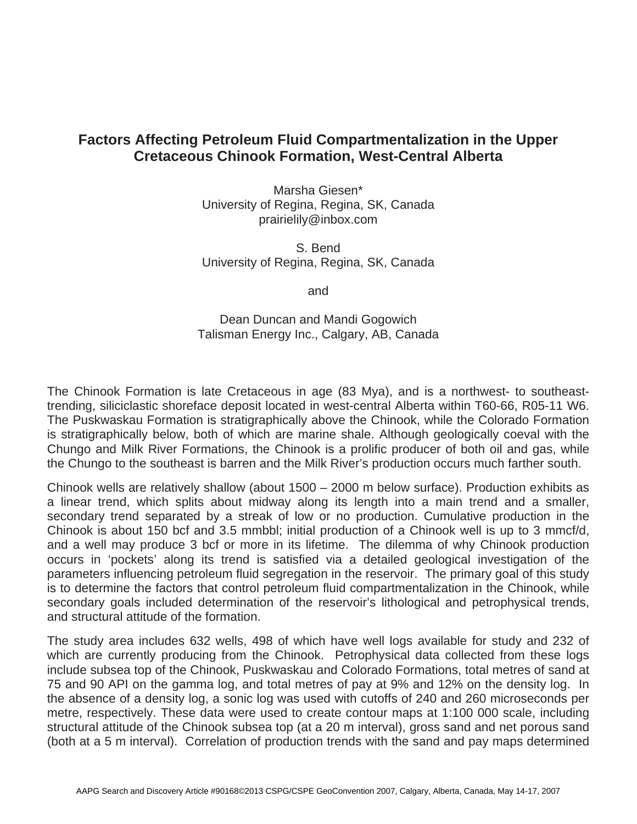# **Factors Affecting Petroleum Fluid Compartmentalization in the Upper Cretaceous Chinook Formation, West-Central Alberta**

Marsha Giesen\* University of Regina, Regina, SK, Canada prairielily@inbox.com

S. Bend University of Regina, Regina, SK, Canada

and

Dean Duncan and Mandi Gogowich Talisman Energy Inc., Calgary, AB, Canada

The Chinook Formation is late Cretaceous in age (83 Mya), and is a northwest- to southeasttrending, siliciclastic shoreface deposit located in west-central Alberta within T60-66, R05-11 W6. The Puskwaskau Formation is stratigraphically above the Chinook, while the Colorado Formation is stratigraphically below, both of which are marine shale. Although geologically coeval with the Chungo and Milk River Formations, the Chinook is a prolific producer of both oil and gas, while the Chungo to the southeast is barren and the Milk River's production occurs much farther south.

Chinook wells are relatively shallow (about 1500 – 2000 m below surface). Production exhibits as a linear trend, which splits about midway along its length into a main trend and a smaller, secondary trend separated by a streak of low or no production. Cumulative production in the Chinook is about 150 bcf and 3.5 mmbbl; initial production of a Chinook well is up to 3 mmcf/d, and a well may produce 3 bcf or more in its lifetime. The dilemma of why Chinook production occurs in 'pockets' along its trend is satisfied via a detailed geological investigation of the parameters influencing petroleum fluid segregation in the reservoir. The primary goal of this study is to determine the factors that control petroleum fluid compartmentalization in the Chinook, while secondary goals included determination of the reservoir's lithological and petrophysical trends, and structural attitude of the formation.

The study area includes 632 wells, 498 of which have well logs available for study and 232 of which are currently producing from the Chinook. Petrophysical data collected from these logs include subsea top of the Chinook, Puskwaskau and Colorado Formations, total metres of sand at 75 and 90 API on the gamma log, and total metres of pay at 9% and 12% on the density log. In the absence of a density log, a sonic log was used with cutoffs of 240 and 260 microseconds per metre, respectively. These data were used to create contour maps at 1:100 000 scale, including structural attitude of the Chinook subsea top (at a 20 m interval), gross sand and net porous sand (both at a 5 m interval). Correlation of production trends with the sand and pay maps determined